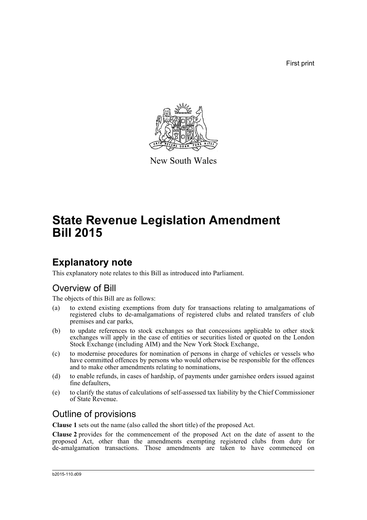First print



New South Wales

# **State Revenue Legislation Amendment Bill 2015**

# **Explanatory note**

This explanatory note relates to this Bill as introduced into Parliament.

## Overview of Bill

The objects of this Bill are as follows:

- (a) to extend existing exemptions from duty for transactions relating to amalgamations of registered clubs to de-amalgamations of registered clubs and related transfers of club premises and car parks,
- (b) to update references to stock exchanges so that concessions applicable to other stock exchanges will apply in the case of entities or securities listed or quoted on the London Stock Exchange (including AIM) and the New York Stock Exchange,
- (c) to modernise procedures for nomination of persons in charge of vehicles or vessels who have committed offences by persons who would otherwise be responsible for the offences and to make other amendments relating to nominations,
- (d) to enable refunds, in cases of hardship, of payments under garnishee orders issued against fine defaulters,
- (e) to clarify the status of calculations of self-assessed tax liability by the Chief Commissioner of State Revenue.

## Outline of provisions

**Clause 1** sets out the name (also called the short title) of the proposed Act.

**Clause 2** provides for the commencement of the proposed Act on the date of assent to the proposed Act, other than the amendments exempting registered clubs from duty for de-amalgamation transactions. Those amendments are taken to have commenced on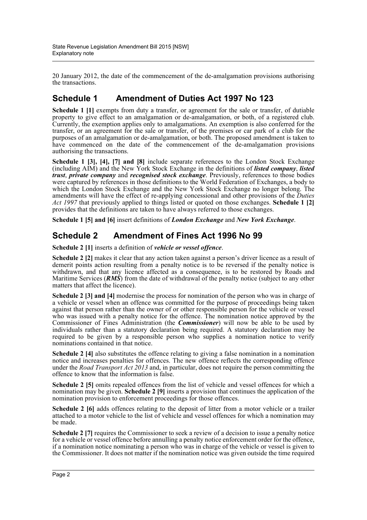20 January 2012, the date of the commencement of the de-amalgamation provisions authorising the transactions.

## **Schedule 1 Amendment of Duties Act 1997 No 123**

**Schedule 1 [1]** exempts from duty a transfer, or agreement for the sale or transfer, of dutiable property to give effect to an amalgamation or de-amalgamation, or both, of a registered club. Currently, the exemption applies only to amalgamations. An exemption is also conferred for the transfer, or an agreement for the sale or transfer, of the premises or car park of a club for the purposes of an amalgamation or de-amalgamation, or both. The proposed amendment is taken to have commenced on the date of the commencement of the de-amalgamation provisions authorising the transactions.

**Schedule 1 [3], [4], [7] and [8]** include separate references to the London Stock Exchange (including AIM) and the New York Stock Exchange in the definitions of *listed company*, *listed trust*, *private company* and *recognised stock exchange*. Previously, references to those bodies were captured by references in those definitions to the World Federation of Exchanges, a body to which the London Stock Exchange and the New York Stock Exchange no longer belong. The amendments will have the effect of re-applying concessional and other provisions of the *Duties Act 1997* that previously applied to things listed or quoted on those exchanges. **Schedule 1 [2]** provides that the definitions are taken to have always referred to those exchanges.

**Schedule 1 [5] and [6]** insert definitions of *London Exchange* and *New York Exchange*.

### **Schedule 2 Amendment of Fines Act 1996 No 99**

**Schedule 2 [1]** inserts a definition of *vehicle or vessel offence*.

**Schedule 2 [2]** makes it clear that any action taken against a person's driver licence as a result of demerit points action resulting from a penalty notice is to be reversed if the penalty notice is withdrawn, and that any licence affected as a consequence, is to be restored by Roads and Maritime Services (**RMS**) from the date of withdrawal of the penalty notice (subject to any other matters that affect the licence).

**Schedule 2 [3] and [4]** modernise the process for nomination of the person who was in charge of a vehicle or vessel when an offence was committed for the purpose of proceedings being taken against that person rather than the owner of or other responsible person for the vehicle or vessel who was issued with a penalty notice for the offence. The nomination notice approved by the Commissioner of Fines Administration (the *Commissioner*) will now be able to be used by individuals rather than a statutory declaration being required. A statutory declaration may be required to be given by a responsible person who supplies a nomination notice to verify nominations contained in that notice.

**Schedule 2 [4]** also substitutes the offence relating to giving a false nomination in a nomination notice and increases penalties for offences. The new offence reflects the corresponding offence under the *Road Transport Act 2013* and, in particular, does not require the person committing the offence to know that the information is false.

**Schedule 2 [5]** omits repealed offences from the list of vehicle and vessel offences for which a nomination may be given. **Schedule 2 [9]** inserts a provision that continues the application of the nomination provision to enforcement proceedings for those offences.

**Schedule 2 [6]** adds offences relating to the deposit of litter from a motor vehicle or a trailer attached to a motor vehicle to the list of vehicle and vessel offences for which a nomination may be made.

**Schedule 2** [7] requires the Commissioner to seek a review of a decision to issue a penalty notice for a vehicle or vessel offence before annulling a penalty notice enforcement order for the offence, if a nomination notice nominating a person who was in charge of the vehicle or vessel is given to the Commissioner. It does not matter if the nomination notice was given outside the time required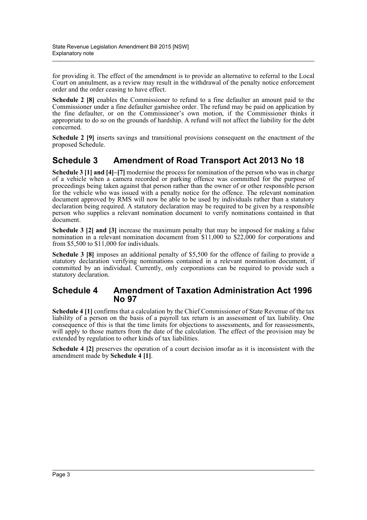for providing it. The effect of the amendment is to provide an alternative to referral to the Local Court on annulment, as a review may result in the withdrawal of the penalty notice enforcement order and the order ceasing to have effect.

**Schedule 2 [8]** enables the Commissioner to refund to a fine defaulter an amount paid to the Commissioner under a fine defaulter garnishee order. The refund may be paid on application by the fine defaulter, or on the Commissioner's own motion, if the Commissioner thinks it appropriate to do so on the grounds of hardship. A refund will not affect the liability for the debt concerned.

**Schedule 2 [9]** inserts savings and transitional provisions consequent on the enactment of the proposed Schedule.

## **Schedule 3 Amendment of Road Transport Act 2013 No 18**

**Schedule 3 [1] and [4]–[7]** modernise the process for nomination of the person who was in charge of a vehicle when a camera recorded or parking offence was committed for the purpose of proceedings being taken against that person rather than the owner of or other responsible person for the vehicle who was issued with a penalty notice for the offence. The relevant nomination document approved by RMS will now be able to be used by individuals rather than a statutory declaration being required. A statutory declaration may be required to be given by a responsible person who supplies a relevant nomination document to verify nominations contained in that document.

**Schedule 3 [2] and [3]** increase the maximum penalty that may be imposed for making a false nomination in a relevant nomination document from \$11,000 to \$22,000 for corporations and from \$5,500 to \$11,000 for individuals.

**Schedule 3 [8]** imposes an additional penalty of \$5,500 for the offence of failing to provide a statutory declaration verifying nominations contained in a relevant nomination document, if committed by an individual. Currently, only corporations can be required to provide such a statutory declaration.

### **Schedule 4 Amendment of Taxation Administration Act 1996 No 97**

**Schedule 4 [1]** confirms that a calculation by the Chief Commissioner of State Revenue of the tax liability of a person on the basis of a payroll tax return is an assessment of tax liability. One consequence of this is that the time limits for objections to assessments, and for reassessments, will apply to those matters from the date of the calculation. The effect of the provision may be extended by regulation to other kinds of tax liabilities.

**Schedule 4 [2]** preserves the operation of a court decision insofar as it is inconsistent with the amendment made by **Schedule 4 [1]**.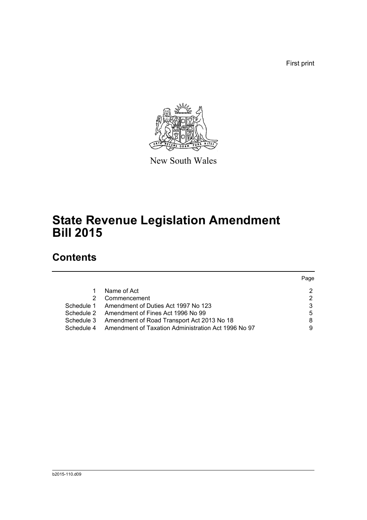First print



New South Wales

# **State Revenue Legislation Amendment Bill 2015**

# **Contents**

|            |                                                     | Page |
|------------|-----------------------------------------------------|------|
|            | Name of Act                                         | 2    |
| 2          | Commencement                                        | 2    |
| Schedule 1 | Amendment of Duties Act 1997 No 123                 | 3    |
| Schedule 2 | Amendment of Fines Act 1996 No 99                   | 5    |
| Schedule 3 | Amendment of Road Transport Act 2013 No 18          | 8    |
| Schedule 4 | Amendment of Taxation Administration Act 1996 No 97 | 9    |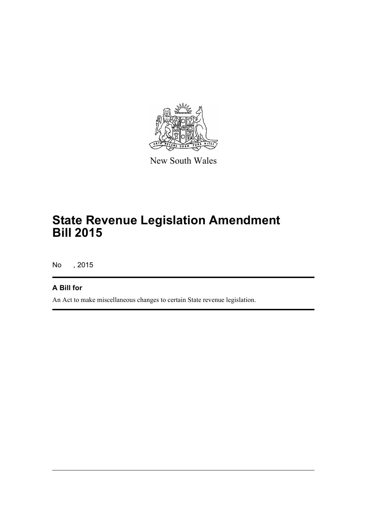

New South Wales

# **State Revenue Legislation Amendment Bill 2015**

No , 2015

### **A Bill for**

An Act to make miscellaneous changes to certain State revenue legislation.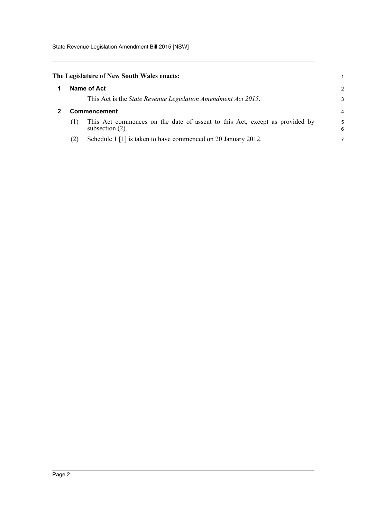State Revenue Legislation Amendment Bill 2015 [NSW]

<span id="page-5-0"></span>

| The Legislature of New South Wales enacts: |  |
|--------------------------------------------|--|
|--------------------------------------------|--|

<span id="page-5-1"></span>

|  | Name of Act         |                                                                                                   | $\mathcal{P}$ |
|--|---------------------|---------------------------------------------------------------------------------------------------|---------------|
|  |                     | This Act is the <i>State Revenue Legislation Amendment Act 2015</i> .                             | 3             |
|  | <b>Commencement</b> |                                                                                                   | 4             |
|  |                     | This Act commences on the date of assent to this Act, except as provided by<br>subsection $(2)$ . | 5<br>6        |
|  |                     | Schedule 1 [1] is taken to have commenced on 20 January 2012.                                     |               |

1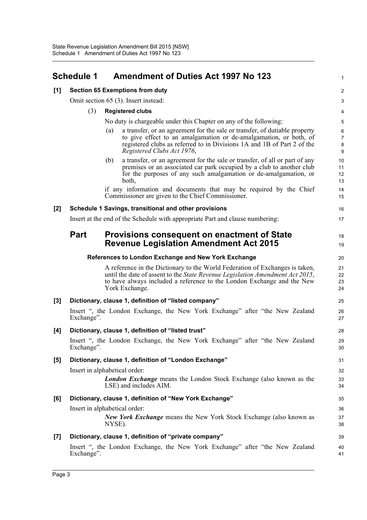<span id="page-6-0"></span>

|       | <b>Schedule 1</b> | <b>Amendment of Duties Act 1997 No 123</b>                                                                                                                                                                                                                | 1                              |
|-------|-------------------|-----------------------------------------------------------------------------------------------------------------------------------------------------------------------------------------------------------------------------------------------------------|--------------------------------|
| [1]   |                   | <b>Section 65 Exemptions from duty</b>                                                                                                                                                                                                                    | 2                              |
|       |                   | Omit section 65 (3). Insert instead:                                                                                                                                                                                                                      | 3                              |
|       | (3)               | <b>Registered clubs</b>                                                                                                                                                                                                                                   | 4                              |
|       |                   | No duty is chargeable under this Chapter on any of the following:                                                                                                                                                                                         | 5                              |
|       |                   | a transfer, or an agreement for the sale or transfer, of dutiable property<br>(a)                                                                                                                                                                         | 6                              |
|       |                   | to give effect to an amalgamation or de-amalgamation, or both, of<br>registered clubs as referred to in Divisions 1A and 1B of Part 2 of the<br>Registered Clubs Act 1976,                                                                                | $\overline{7}$<br>$\bf 8$<br>9 |
|       |                   | a transfer, or an agreement for the sale or transfer, of all or part of any<br>(b)<br>premises or an associated car park occupied by a club to another club<br>for the purposes of any such amalgamation or de-amalgamation, or<br>both,                  | 10<br>11<br>12<br>13           |
|       |                   | if any information and documents that may be required by the Chief<br>Commissioner are given to the Chief Commissioner.                                                                                                                                   | 14<br>15                       |
| $[2]$ |                   | Schedule 1 Savings, transitional and other provisions                                                                                                                                                                                                     | 16                             |
|       |                   | Insert at the end of the Schedule with appropriate Part and clause numbering:                                                                                                                                                                             | 17                             |
|       | <b>Part</b>       | Provisions consequent on enactment of State<br><b>Revenue Legislation Amendment Act 2015</b>                                                                                                                                                              | 18<br>19                       |
|       |                   | References to London Exchange and New York Exchange                                                                                                                                                                                                       | 20                             |
|       |                   | A reference in the Dictionary to the World Federation of Exchanges is taken,<br>until the date of assent to the State Revenue Legislation Amendment Act 2015,<br>to have always included a reference to the London Exchange and the New<br>York Exchange. | 21<br>22<br>23<br>24           |
| $[3]$ |                   | Dictionary, clause 1, definition of "listed company"                                                                                                                                                                                                      | 25                             |
|       | Exchange".        | Insert ", the London Exchange, the New York Exchange" after "the New Zealand                                                                                                                                                                              | 26<br>27                       |
| [4]   |                   | Dictionary, clause 1, definition of "listed trust"                                                                                                                                                                                                        | 28                             |
|       | Exchange".        | Insert ", the London Exchange, the New York Exchange" after "the New Zealand                                                                                                                                                                              | 29<br>30                       |
| [5]   |                   | Dictionary, clause 1, definition of "London Exchange"                                                                                                                                                                                                     | 31                             |
|       |                   | Insert in alphabetical order:                                                                                                                                                                                                                             | 32                             |
|       |                   | <b>London Exchange</b> means the London Stock Exchange (also known as the<br>LSE) and includes AIM.                                                                                                                                                       | 33<br>34                       |
| [6]   |                   | Dictionary, clause 1, definition of "New York Exchange"                                                                                                                                                                                                   | 35                             |
|       |                   | Insert in alphabetical order:                                                                                                                                                                                                                             | 36                             |
|       |                   | <b>New York Exchange</b> means the New York Stock Exchange (also known as<br>NYSE).                                                                                                                                                                       | 37<br>38                       |
| $[7]$ |                   | Dictionary, clause 1, definition of "private company"                                                                                                                                                                                                     | 39                             |
|       | Exchange".        | Insert ", the London Exchange, the New York Exchange" after "the New Zealand                                                                                                                                                                              | 40<br>41                       |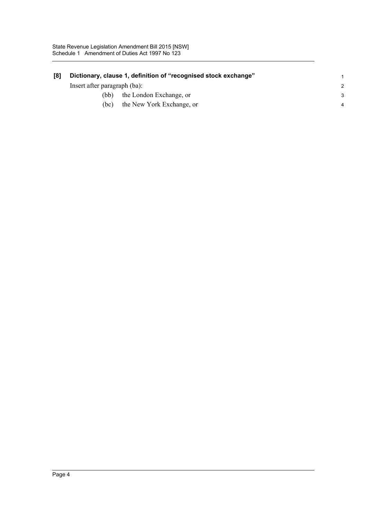| [8] |                              | Dictionary, clause 1, definition of "recognised stock exchange" |   |
|-----|------------------------------|-----------------------------------------------------------------|---|
|     | Insert after paragraph (ba): |                                                                 |   |
|     | (bb).                        | the London Exchange, or                                         | 3 |
|     | (bc)                         | the New York Exchange, or                                       |   |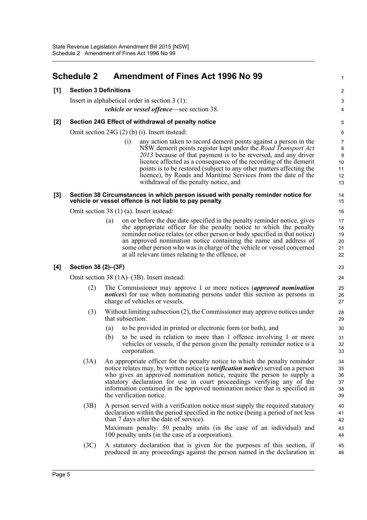### <span id="page-8-0"></span>**Schedule 2 Amendment of Fines Act 1996 No 99**

### **[1] Section 3 Definitions**

Insert in alphabetical order in section 3 (1): *vehicle or vessel offence*—see section 38.

#### **[2] Section 24G Effect of withdrawal of penalty notice**

Omit section 24G (2) (b) (i). Insert instead:

(i) any action taken to record demerit points against a person in the NSW demerit points register kept under the *Road Transport Act 2013* because of that payment is to be reversed, and any driver licence affected as a consequence of the recording of the demerit points is to be restored (subject to any other matters affecting the licence), by Roads and Maritime Services from the date of the withdrawal of the penalty notice, and

1

 $\overline{2}$ 3 4

#### **[3] Section 38 Circumstances in which person issued with penalty reminder notice for vehicle or vessel offence is not liable to pay penalty**

Omit section 38 (1) (a). Insert instead:

(a) on or before the due date specified in the penalty reminder notice, gives the appropriate officer for the penalty notice to which the penalty reminder notice relates (or other person or body specified in that notice) an approved nomination notice containing the name and address of some other person who was in charge of the vehicle or vessel concerned at all relevant times relating to the offence, or

#### **[4] Section 38 (2)–(3F)**

Omit section 38 (1A)–(3B). Insert instead:

- (2) The Commissioner may approve 1 or more notices (*approved nomination notices*) for use when nominating persons under this section as persons in charge of vehicles or vessels.
- (3) Without limiting subsection (2), the Commissioner may approve notices under that subsection:
	- (a) to be provided in printed or electronic form (or both), and
	- (b) to be used in relation to more than 1 offence involving 1 or more vehicles or vessels, if the person given the penalty reminder notice is a corporation.
- (3A) An appropriate officer for the penalty notice to which the penalty reminder notice relates may, by written notice (a *verification notice*) served on a person who gives an approved nomination notice, require the person to supply a statutory declaration for use in court proceedings verifying any of the information contained in the approved nomination notice that is specified in the verification notice.
- (3B) A person served with a verification notice must supply the required statutory declaration within the period specified in the notice (being a period of not less than 7 days after the date of service).

Maximum penalty: 50 penalty units (in the case of an individual) and 100 penalty units (in the case of a corporation).

(3C) A statutory declaration that is given for the purposes of this section, if produced in any proceedings against the person named in the declaration in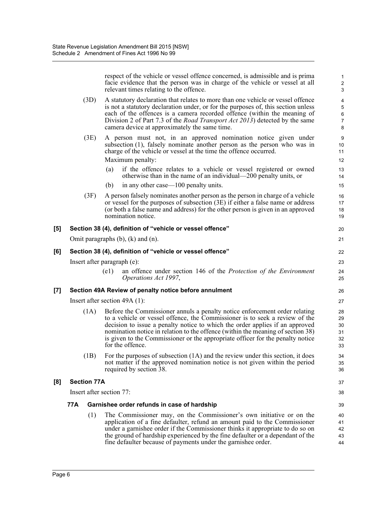|     |                    | respect of the vehicle or vessel offence concerned, is admissible and is prima<br>facie evidence that the person was in charge of the vehicle or vessel at all<br>relevant times relating to the offence.                                                                                                                                                                                                                            | $\mathbf{1}$<br>$\boldsymbol{2}$<br>$\mathbf{3}$                   |
|-----|--------------------|--------------------------------------------------------------------------------------------------------------------------------------------------------------------------------------------------------------------------------------------------------------------------------------------------------------------------------------------------------------------------------------------------------------------------------------|--------------------------------------------------------------------|
|     | (3D)               | A statutory declaration that relates to more than one vehicle or vessel offence<br>is not a statutory declaration under, or for the purposes of, this section unless<br>each of the offences is a camera recorded offence (within the meaning of<br>Division 2 of Part 7.3 of the <i>Road Transport Act 2013</i> ) detected by the same<br>camera device at approximately the same time.                                             | $\overline{\mathbf{4}}$<br>$\mathbf 5$<br>6<br>$\overline{7}$<br>8 |
|     | (3E)               | A person must not, in an approved nomination notice given under<br>subsection (1), falsely nominate another person as the person who was in<br>charge of the vehicle or vessel at the time the offence occurred.<br>Maximum penalty:<br>if the offence relates to a vehicle or vessel registered or owned<br>(a)<br>otherwise than in the name of an individual—200 penalty units, or<br>in any other case—100 penalty units.<br>(b) | $9\,$<br>10<br>11<br>12<br>13<br>14<br>15                          |
|     | (3F)               | A person falsely nominates another person as the person in charge of a vehicle<br>or vessel for the purposes of subsection (3E) if either a false name or address<br>(or both a false name and address) for the other person is given in an approved<br>nomination notice.                                                                                                                                                           | 16<br>17<br>18<br>19                                               |
| [5] |                    | Section 38 (4), definition of "vehicle or vessel offence"                                                                                                                                                                                                                                                                                                                                                                            | 20                                                                 |
|     |                    | Omit paragraphs $(b)$ , $(k)$ and $(n)$ .                                                                                                                                                                                                                                                                                                                                                                                            | 21                                                                 |
| [6] |                    | Section 38 (4), definition of "vehicle or vessel offence"                                                                                                                                                                                                                                                                                                                                                                            | 22                                                                 |
|     |                    | Insert after paragraph (e):                                                                                                                                                                                                                                                                                                                                                                                                          | 23                                                                 |
|     |                    | (e1)<br>an offence under section 146 of the Protection of the Environment<br>Operations Act 1997,                                                                                                                                                                                                                                                                                                                                    | 24<br>25                                                           |
| [7] |                    | Section 49A Review of penalty notice before annulment                                                                                                                                                                                                                                                                                                                                                                                | 26                                                                 |
|     |                    | Insert after section $49A(1)$ :                                                                                                                                                                                                                                                                                                                                                                                                      | 27                                                                 |
|     | (1A)               | Before the Commissioner annuls a penalty notice enforcement order relating<br>to a vehicle or vessel offence, the Commissioner is to seek a review of the<br>decision to issue a penalty notice to which the order applies if an approved<br>nomination notice in relation to the offence (within the meaning of section 38)<br>is given to the Commissioner or the appropriate officer for the penalty notice<br>for the offence.   | 28<br>29<br>30<br>31<br>32<br>33                                   |
|     | (1B)               | For the purposes of subsection $(1A)$ and the review under this section, it does<br>not matter if the approved nomination notice is not given within the period<br>required by section 38.                                                                                                                                                                                                                                           | 34<br>35<br>36                                                     |
| [8] | <b>Section 77A</b> |                                                                                                                                                                                                                                                                                                                                                                                                                                      | 37                                                                 |
|     |                    | Insert after section 77:                                                                                                                                                                                                                                                                                                                                                                                                             | 38                                                                 |
|     | 77A                | Garnishee order refunds in case of hardship                                                                                                                                                                                                                                                                                                                                                                                          | 39                                                                 |
|     | (1)                | The Commissioner may, on the Commissioner's own initiative or on the<br>application of a fine defaulter, refund an amount paid to the Commissioner<br>under a garnishee order if the Commissioner thinks it appropriate to do so on<br>the ground of hardship experienced by the fine defaulter or a dependant of the<br>fine defaulter because of payments under the garnishee order.                                               | 40<br>41<br>42<br>43<br>44                                         |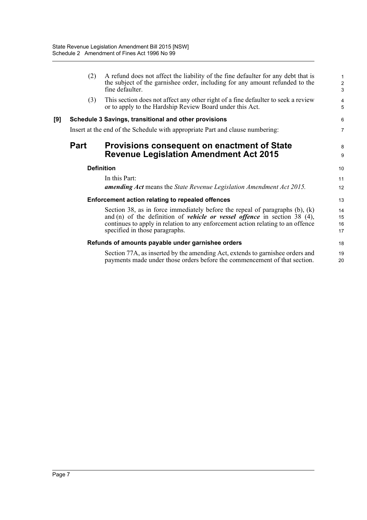|                   | (2)  | A refund does not affect the liability of the fine defaulter for any debt that is<br>the subject of the garnishee order, including for any amount refunded to the<br>fine defaulter. | $\mathbf{1}$<br>$\overline{2}$<br>3 |
|-------------------|------|--------------------------------------------------------------------------------------------------------------------------------------------------------------------------------------|-------------------------------------|
|                   | (3)  | This section does not affect any other right of a fine defaulter to seek a review<br>or to apply to the Hardship Review Board under this Act.                                        | 4<br>5                              |
| [9]               |      | Schedule 3 Savings, transitional and other provisions                                                                                                                                | 6                                   |
|                   |      | Insert at the end of the Schedule with appropriate Part and clause numbering:                                                                                                        | $\overline{7}$                      |
|                   | Part | <b>Provisions consequent on enactment of State</b>                                                                                                                                   | 8                                   |
|                   |      | <b>Revenue Legislation Amendment Act 2015</b>                                                                                                                                        | 9                                   |
| <b>Definition</b> |      | 10                                                                                                                                                                                   |                                     |
|                   |      | In this Part:                                                                                                                                                                        | 11                                  |
|                   |      | <b>amending Act</b> means the State Revenue Legislation Amendment Act 2015.                                                                                                          | 12                                  |
|                   |      | Enforcement action relating to repealed offences                                                                                                                                     | 13                                  |
|                   |      | Section 38, as in force immediately before the repeal of paragraphs $(b)$ , $(k)$                                                                                                    | 14                                  |
|                   |      | and (n) of the definition of <i>vehicle or vessel offence</i> in section 38 $(4)$ ,                                                                                                  | 15                                  |
|                   |      | continues to apply in relation to any enforcement action relating to an offence<br>specified in those paragraphs.                                                                    | 16<br>17                            |
|                   |      | Refunds of amounts payable under garnishee orders                                                                                                                                    | 18                                  |
|                   |      | Section 77A, as inserted by the amending Act, extends to garnishee orders and                                                                                                        | 19                                  |
|                   |      | payments made under those orders before the commencement of that section.                                                                                                            | 20                                  |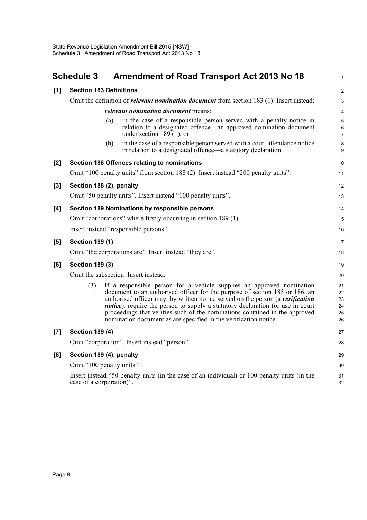## <span id="page-11-0"></span>**Schedule 3 Amendment of Road Transport Act 2013 No 18**

1

| [1]   | <b>Section 183 Definitions</b>                                                                                                                                                                                                                                                                                                                                                                                                                                                             | $\overline{2}$                   |  |
|-------|--------------------------------------------------------------------------------------------------------------------------------------------------------------------------------------------------------------------------------------------------------------------------------------------------------------------------------------------------------------------------------------------------------------------------------------------------------------------------------------------|----------------------------------|--|
|       | Omit the definition of <i>relevant nomination document</i> from section 183 (1). Insert instead:                                                                                                                                                                                                                                                                                                                                                                                           |                                  |  |
|       | <i>relevant nomination document</i> means:                                                                                                                                                                                                                                                                                                                                                                                                                                                 | 4                                |  |
|       | in the case of a responsible person served with a penalty notice in<br>(a)<br>relation to a designated offence—an approved nomination document<br>under section $189(1)$ , or                                                                                                                                                                                                                                                                                                              | 5<br>6<br>7                      |  |
|       | in the case of a responsible person served with a court attendance notice<br>(b)<br>in relation to a designated offence—a statutory declaration.                                                                                                                                                                                                                                                                                                                                           | 8<br>9                           |  |
| [2]   | Section 188 Offences relating to nominations                                                                                                                                                                                                                                                                                                                                                                                                                                               | 10                               |  |
|       | Omit "100 penalty units" from section 188 (2). Insert instead "200 penalty units".                                                                                                                                                                                                                                                                                                                                                                                                         | 11                               |  |
| [3]   | Section 188 (2), penalty                                                                                                                                                                                                                                                                                                                                                                                                                                                                   | 12                               |  |
|       | Omit "50 penalty units". Insert instead "100 penalty units".                                                                                                                                                                                                                                                                                                                                                                                                                               | 13                               |  |
| [4]   | Section 189 Nominations by responsible persons                                                                                                                                                                                                                                                                                                                                                                                                                                             |                                  |  |
|       | Omit "corporations" where firstly occurring in section 189 (1).                                                                                                                                                                                                                                                                                                                                                                                                                            |                                  |  |
|       | Insert instead "responsible persons".                                                                                                                                                                                                                                                                                                                                                                                                                                                      |                                  |  |
| $[5]$ | <b>Section 189 (1)</b>                                                                                                                                                                                                                                                                                                                                                                                                                                                                     |                                  |  |
|       | Omit "the corporations are". Insert instead "they are".                                                                                                                                                                                                                                                                                                                                                                                                                                    | 18                               |  |
| [6]   | <b>Section 189 (3)</b>                                                                                                                                                                                                                                                                                                                                                                                                                                                                     |                                  |  |
|       | Omit the subsection. Insert instead:                                                                                                                                                                                                                                                                                                                                                                                                                                                       |                                  |  |
|       | (3)<br>If a responsible person for a vehicle supplies an approved nomination<br>document to an authorised officer for the purpose of section 185 or 186, an<br>authorised officer may, by written notice served on the person (a verification<br><i>notice</i> ), require the person to supply a statutory declaration for use in court<br>proceedings that verifies such of the nominations contained in the approved<br>nomination document as are specified in the verification notice. | 21<br>22<br>23<br>24<br>25<br>26 |  |
| $[7]$ | <b>Section 189 (4)</b>                                                                                                                                                                                                                                                                                                                                                                                                                                                                     |                                  |  |
|       | Omit "corporation". Insert instead "person".                                                                                                                                                                                                                                                                                                                                                                                                                                               | 28                               |  |
| [8]   | Section 189 (4), penalty                                                                                                                                                                                                                                                                                                                                                                                                                                                                   |                                  |  |
|       | Omit "100 penalty units".                                                                                                                                                                                                                                                                                                                                                                                                                                                                  |                                  |  |
|       | Insert instead "50 penalty units (in the case of an individual) or 100 penalty units (in the<br>case of a corporation)".                                                                                                                                                                                                                                                                                                                                                                   | 31<br>32                         |  |
|       |                                                                                                                                                                                                                                                                                                                                                                                                                                                                                            |                                  |  |